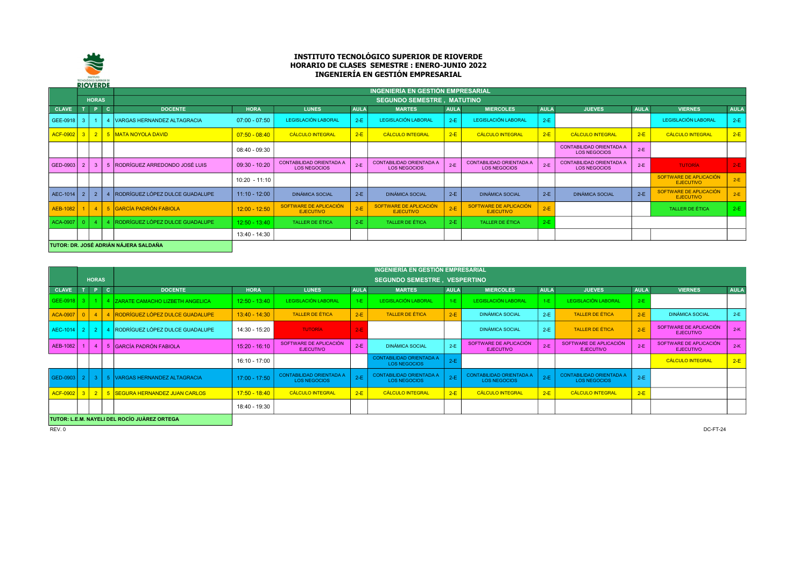

## INSTITUTO TECNOLÓGICO SUPERIOR DE RIOVERDE HORARIO DE CLASES SEMESTRE : ENERO-JUNIO 2022 INGENIERÍA EN GESTIÓN EMPRESARIAL

|              |                                       |                |                |                                 | <b>INGENIERÍA EN GESTIÓN EMPRESARIAL</b> |                                                        |             |                                                 |             |                                                        |             |                                                        |             |                                            |             |  |
|--------------|---------------------------------------|----------------|----------------|---------------------------------|------------------------------------------|--------------------------------------------------------|-------------|-------------------------------------------------|-------------|--------------------------------------------------------|-------------|--------------------------------------------------------|-------------|--------------------------------------------|-------------|--|
|              |                                       | <b>HORAS</b>   |                |                                 |                                          |                                                        |             | <b>SEGUNDO SEMESTRE, MATUTINO</b>               |             |                                                        |             |                                                        |             |                                            |             |  |
| <b>CLAVE</b> |                                       | D              | $\mathbf{C}$   | <b>DOCENTE</b>                  | <b>HORA</b>                              | <b>LUNES</b>                                           | <b>AULA</b> | <b>MARTES</b>                                   | <b>AULA</b> | <b>MIERCOLES</b>                                       | <b>AULA</b> | <b>JUEVES</b>                                          | <b>AULA</b> | <b>VIERNES</b>                             | <b>AULA</b> |  |
| GEE-0918     |                                       |                |                | VARGAS HERNANDEZ ALTAGRACIA     | $07:00 - 07:50$                          | <b>LEGISLACIÓN LABORAL</b>                             | $2-E$       | <b>LEGISLACIÓN LABORAL</b>                      | $2-E$       | LEGISLACIÓN LABORAL                                    | $2-E$       |                                                        |             | LEGISLACIÓN LABORAL                        | $2-E$       |  |
| ACF-0902 3   |                                       |                |                | 2 5 MATA NOYOLA DAVID           | $07:50 - 08:40$                          | <b>CÁLCULO INTEGRAL</b>                                | $2-E$       | <b>CÁLCULO INTEGRAL</b>                         | $2-E$       | <b>CÁLCULO INTEGRAL</b>                                | $2-E$       | <b>CÁLCULO INTEGRAL</b>                                | $2-E$       | CÁLCULO INTEGRAL                           | $2-E$       |  |
|              |                                       |                |                |                                 | $08:40 - 09:30$                          |                                                        |             |                                                 |             |                                                        |             | <b>CONTABILIDAD ORIENTADA A</b><br><b>LOS NEGOCIOS</b> | $2-E$       |                                            |             |  |
| GED-0903     |                                       | 3              |                | RODRÍGUEZ ARREDONDO JOSÉ LUIS   | $09:30 - 10:20$                          | <b>CONTABILIDAD ORIENTADA A</b><br><b>LOS NEGOCIOS</b> | $2-E$       | CONTABILIDAD ORIENTADA A<br><b>LOS NEGOCIOS</b> | $2-E$       | <b>CONTABILIDAD ORIENTADA A</b><br><b>LOS NEGOCIOS</b> | $2-E$       | <b>CONTABILIDAD ORIENTADA A</b><br><b>LOS NEGOCIOS</b> | $2-E$       | <b>TUTORÍA</b>                             | $2-E$       |  |
|              |                                       |                |                |                                 | $10:20 - 11:10$                          |                                                        |             |                                                 |             |                                                        |             |                                                        |             | SOFTWARE DE APLICACIÓN<br><b>EJECUTIVO</b> | $2-E$       |  |
| AEC-1014     |                                       | $\overline{2}$ |                | RODRÍGUEZ LÓPEZ DULCE GUADALUPE | $11:10 - 12:00$                          | <b>DINÁMICA SOCIAL</b>                                 | $2-E$       | <b>DINÁMICA SOCIAL</b>                          | $2-E$       | <b>DINÁMICA SOCIAL</b>                                 | $2-E$       | <b>DINÁMICA SOCIAL</b>                                 | $2-E$       | SOFTWARE DE APLICACIÓN<br><b>EJECUTIVO</b> | $2-E$       |  |
| AEB-1082     |                                       |                | 5 <sup>1</sup> | <b>GARCÍA PADRÓN FABIOLA</b>    | $12:00 - 12:50$                          | SOFTWARE DE APLICACIÓN<br><b>EJECUTIVO</b>             | $2-E$       | SOFTWARE DE APLICACIÓN<br><b>EJECUTIVO</b>      | $2-E$       | SOFTWARE DE APLICACIÓN<br><b>EJECUTIVO</b>             | $2-E$       |                                                        |             | <b>TALLER DE ÉTICA</b>                     | $2-E$       |  |
| ACA-0907     | $\Omega$                              |                |                | RODRÍGUEZ LÓPEZ DULCE GUADALUPE | $12:50 - 13:40$                          | TALLER DE ÉTICA                                        | $2-E$       | <b>TALLER DE ÉTICA</b>                          | $2-E$       | <b>TALLER DE ÉTICA</b>                                 | $2-E$       |                                                        |             |                                            |             |  |
|              |                                       |                |                |                                 | 13:40 - 14:30                            |                                                        |             |                                                 |             |                                                        |             |                                                        |             |                                            |             |  |
|              | TUTOR: DR. JOSÉ ADRIÁN NÁJERA SALDAÑA |                |                |                                 |                                          |                                                        |             |                                                 |             |                                                        |             |                                                        |             |                                            |             |  |

|                      |                                              |              |              |                                               | INGENIERÍA EN GESTIÓN EMPRESARIAL |                                                 |             |                                                        |             |                                                        |             |                                                        |             |                                            |             |  |  |
|----------------------|----------------------------------------------|--------------|--------------|-----------------------------------------------|-----------------------------------|-------------------------------------------------|-------------|--------------------------------------------------------|-------------|--------------------------------------------------------|-------------|--------------------------------------------------------|-------------|--------------------------------------------|-------------|--|--|
|                      |                                              | <b>HORAS</b> |              |                                               |                                   |                                                 |             | <b>SEGUNDO SEMESTRE, VESPERTINO</b>                    |             |                                                        |             |                                                        |             |                                            |             |  |  |
| <b>CLAVE</b>         |                                              | P.           | $\mathbf{C}$ | <b>DOCENTE</b>                                | <b>HORA</b>                       | <b>LUNES</b>                                    | <b>AULA</b> | <b>MARTES</b>                                          | <b>AULA</b> | <b>MIERCOLES</b>                                       | <b>AULA</b> | <b>JUEVES</b>                                          | <b>AULA</b> | <b>VIERNES</b>                             | <b>AULA</b> |  |  |
| GEE-0918 3           |                                              |              |              | 4 ZARATE CAMACHO LIZBETH ANGELICA             | $12:50 - 13:40$                   | LEGISLACIÓN LABORAL                             | $1-E$       | LEGISLACIÓN LABORAL                                    | $1-E$       | LEGISLACIÓN LABORAL                                    | $1-E$       | LEGISLACIÓN LABORAL                                    | $2-E$       |                                            |             |  |  |
| ACA-0907             |                                              |              |              | RODRÍGUEZ LÓPEZ DULCE GUADALUPE               | $13:40 - 14:30$                   | <b>TALLER DE ÉTICA</b>                          | $2-E$       | <b>TALLER DE ÉTICA</b>                                 | $2-E$       | <b>DINÁMICA SOCIAL</b>                                 | $2-E$       | <b>TALLER DE ÉTICA</b>                                 | $2-E$       | <b>DINÁMICA SOCIAL</b>                     | $2-E$       |  |  |
| AEC-1014             | 2 <sub>1</sub>                               |              |              | RODRÍGUEZ LÓPEZ DULCE GUADALUPE               | 14:30 - 15:20                     | <b>TUTORÍA</b>                                  | $2-E$       |                                                        |             | <b>DINÁMICA SOCIAL</b>                                 | $2-E$       | <b>TALLER DE ÉTICA</b>                                 | $2-E$       | SOFTWARE DE APLICACIÓN<br><b>EJECUTIVO</b> | $2-K$       |  |  |
| AEB-1082             |                                              |              |              | GARCÍA PADRÓN FABIOLA                         | $15:20 - 16:10$                   | SOFTWARE DE APLICACIÓN<br><b>EJECUTIVO</b>      | $2-E$       | <b>DINÁMICA SOCIAL</b>                                 | $2-E$       | SOFTWARE DE APLICACIÓN<br><b>EJECUTIVO</b>             | $2-E$       | SOFTWARE DE APLICACIÓN<br><b>EJECUTIVO</b>             | $2-F$       | SOFTWARE DE APLICACIÓN<br><b>EJECUTIVO</b> | $2-K$       |  |  |
|                      |                                              |              |              |                                               | $16:10 - 17:00$                   |                                                 |             | <b>CONTABILIDAD ORIENTADA A</b><br><b>LOS NEGOCIOS</b> | $2-E$       |                                                        |             |                                                        |             | <b>CÁLCULO INTEGRAL</b>                    | $2-E$       |  |  |
| GED-0903   $2$   $3$ |                                              |              |              | 5 VARGAS HERNANDEZ ALTAGRACIA                 | $17:00 - 17:50$                   | <b>CONTABILIDAD ORIENTADA A</b><br>LOS NEGOCIOS | $2-E$       | <b>CONTABILIDAD ORIENTADA A</b><br><b>LOS NEGOCIOS</b> | $2-E$       | <b>CONTABILIDAD ORIENTADA A</b><br><b>LOS NEGOCIOS</b> | $2-E$       | <b>CONTABILIDAD ORIENTADA A</b><br><b>LOS NEGOCIOS</b> | $2-E$       |                                            |             |  |  |
|                      |                                              |              |              | ACF-0902 3 2 3 5 SEGURA HERNANDEZ JUAN CARLOS | $17:50 - 18:40$                   | <b>CÁLCULO INTEGRAL</b>                         | $2-E$       | <b>CÁLCULO INTEGRAL</b>                                | $2-E$       | <b>CÁLCULO INTEGRAL</b>                                | $2-E$       | <b>CÁLCULO INTEGRAL</b>                                | $2-E$       |                                            |             |  |  |
|                      |                                              |              |              |                                               | 18:40 - 19:30                     |                                                 |             |                                                        |             |                                                        |             |                                                        |             |                                            |             |  |  |
|                      | TUTOR: L.E.M. NAYELI DEL ROCÌO JUÀREZ ORTEGA |              |              |                                               |                                   |                                                 |             |                                                        |             |                                                        |             |                                                        |             |                                            |             |  |  |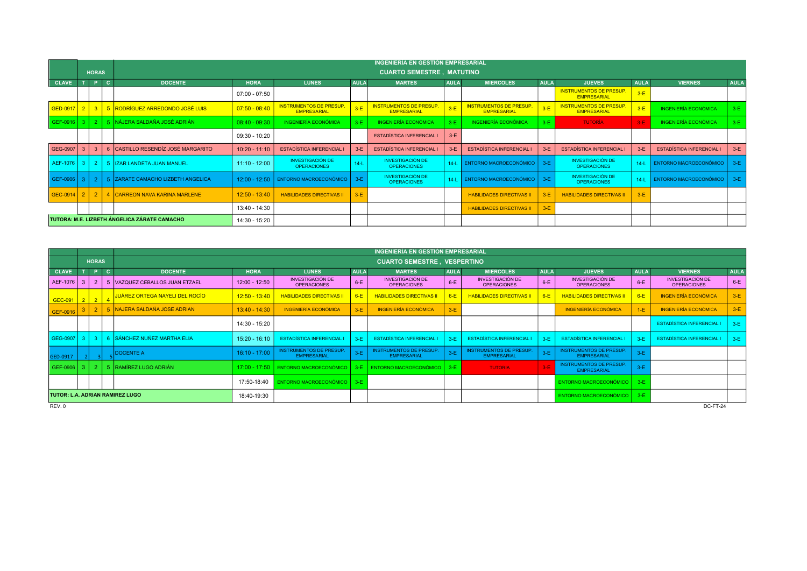|                    |                                              |                |            |                                                     |                 |                                                      |             | INGENIERÍA EN GESTIÓN EMPRESARIAL                    |             |                                                      |             |                                                      |             |                             |       |
|--------------------|----------------------------------------------|----------------|------------|-----------------------------------------------------|-----------------|------------------------------------------------------|-------------|------------------------------------------------------|-------------|------------------------------------------------------|-------------|------------------------------------------------------|-------------|-----------------------------|-------|
|                    |                                              | <b>HORAS</b>   |            |                                                     |                 |                                                      |             | <b>CUARTO SEMESTRE, MATUTINO</b>                     |             |                                                      |             |                                                      |             |                             |       |
| <b>CLAVE</b>       |                                              |                | $P \mid C$ | <b>DOCENTE</b>                                      | <b>HORA</b>     | <b>LUNES</b>                                         | <b>AULA</b> | <b>MARTES</b>                                        | <b>AULA</b> | <b>MIERCOLES</b>                                     | <b>AULA</b> | <b>JUEVES</b>                                        | <b>AULA</b> | <b>VIERNES</b>              | AUL/  |
|                    |                                              |                |            |                                                     | $07:00 - 07:50$ |                                                      |             |                                                      |             |                                                      |             | <b>INSTRUMENTOS DE PRESUP.</b><br><b>EMPRESARIAL</b> | $3-E$       |                             |       |
|                    |                                              |                |            | <b>GED-0917 2 3 5 RODRÍGUEZ ARREDONDO JOSÉ LUIS</b> | $07:50 - 08:40$ | <b>INSTRUMENTOS DE PRESUP.</b><br><b>EMPRESARIAL</b> | $3-E$       | <b>INSTRUMENTOS DE PRESUP.</b><br><b>EMPRESARIAL</b> | $3-E$       | <b>INSTRUMENTOS DE PRESUP.</b><br><b>EMPRESARIAL</b> | $3-E$       | <b>INSTRUMENTOS DE PRESUP.</b><br><b>EMPRESARIAL</b> | $3-E$       | <b>INGENIERÍA ECONÓMICA</b> | $3-E$ |
| GEF-0916           |                                              |                |            | - 2 │ 5 │NÁJERA SALDAÑA JOSÉ ADRIÁN                 | $08:40 - 09:30$ | <b>INGENIERÍA ECONÓMICA</b>                          | $3-E$       | <b>INGENIERÍA ECONÓMICA</b>                          | $3-E$       | <b>INGENIERÍA ECONÓMICA</b>                          | $3-E$       | <b>TUTORÍA</b>                                       | $3-E$       | <b>INGENIERÍA ECONÓMICA</b> | $3-E$ |
|                    |                                              |                |            |                                                     | $09:30 - 10:20$ |                                                      |             | <b>ESTADÍSTICA INFERENCIAL I</b>                     | $3-E$       |                                                      |             |                                                      |             |                             |       |
| GEG-0907           |                                              |                | 6          | CASTILLO RESENDÍZ JOSÉ MARGARITO                    | $10:20 - 11:10$ | <b>ESTADÍSTICA INFERENCIAL I</b>                     | $3-E$       | <b>ESTADÍSTICA INFERENCIAL I</b>                     | $3-E$       | <b>ESTADÍSTICA INFERENCIAL I</b>                     | $3-E$       | <b>ESTADÍSTICA INFERENCIAL I</b>                     | $3-E$       | ESTADÍSTICA INFERENCIAL I   | $3-E$ |
| AEF-1076           |                                              | 2 <sup>1</sup> |            | 5 IZAR LANDETA JUAN MANUEL                          | $11:10 - 12:00$ | <b>INVESTIGACIÓN DE</b><br><b>OPERACIONES</b>        | $14-1$      | <b>INVESTIGACIÓN DE</b><br><b>OPERACIONES</b>        | $14 - 1$    | ENTORNO MACROECONÓMICO                               | $3-E$       | <b>INVESTIGACIÓN DE</b><br><b>OPERACIONES</b>        | $14 - L$    | ENTORNO MACROECONÓMICO      | $3-E$ |
| GEF-0906           |                                              | 2 <sup>7</sup> |            | 5 ZARATE CAMACHO LIZBETH ANGELICA                   | $12:00 - 12:50$ | ENTORNO MACROECONÓMICO                               | $3-E$       | <b>INVESTIGACIÓN DE</b><br><b>OPERACIONES</b>        | $14 - 1$    | ENTORNO MACROECONÓMICO                               | $3-E$       | <b>INVESTIGACIÓN DE</b><br><b>OPERACIONES</b>        | $14-1$      | ENTORNO MACROECONÓMICO      | $3-E$ |
| GEC-0914 $\vert$ 2 |                                              |                |            | <b>CARREON NAVA KARINA MARLENE</b>                  | $12:50 - 13:40$ | <b>HABILIDADES DIRECTIVAS II</b>                     | $3-E$       |                                                      |             | <b>HABILIDADES DIRECTIVAS II</b>                     | $3-E$       | <b>HABILIDADES DIRECTIVAS II</b>                     | $3-E$       |                             |       |
|                    |                                              |                |            |                                                     | 13:40 - 14:30   |                                                      |             |                                                      |             | <b>HABILIDADES DIRECTIVAS II</b>                     | $3-E$       |                                                      |             |                             |       |
|                    | TUTORA: M.E. LIZBETH ÁNGELICA ZÁRATE CAMACHO |                |            |                                                     | 14:30 - 15:20   |                                                      |             |                                                      |             |                                                      |             |                                                      |             |                             |       |

|              |                                        |                |              |                                       | INGENIERÍA EN GESTIÓN EMPRESARIAL |                                                                         |             |                                                      |             |                                                      |             |                                                      |             |                                               |             |  |
|--------------|----------------------------------------|----------------|--------------|---------------------------------------|-----------------------------------|-------------------------------------------------------------------------|-------------|------------------------------------------------------|-------------|------------------------------------------------------|-------------|------------------------------------------------------|-------------|-----------------------------------------------|-------------|--|
|              |                                        | <b>HORAS</b>   |              |                                       |                                   |                                                                         |             | <b>CUARTO SEMESTRE, VESPERTINO</b>                   |             |                                                      |             |                                                      |             |                                               |             |  |
| <b>CLAVE</b> |                                        | Ð              | $\mathbf{C}$ | <b>DOCENTE</b>                        | <b>HORA</b>                       | <b>LUNES</b>                                                            | <b>AULA</b> | <b>MARTES</b>                                        | <b>AULA</b> | <b>MIERCOLES</b>                                     | <b>AULA</b> | <b>JUEVES</b>                                        | <b>AULA</b> | <b>VIERNES</b>                                | <b>AULA</b> |  |
| AEF-1076     |                                        | $\overline{2}$ | 5            | VAZQUEZ CEBALLOS JUAN ETZAEL          | $12:00 - 12:50$                   | <b>INVESTIGACIÓN DE</b><br><b>OPERACIONES</b>                           | $6-E$       | <b>INVESTIGACIÓN DE</b><br><b>OPERACIONES</b>        | $6-E$       | <b>INVESTIGACIÓN DE</b><br><b>OPERACIONES</b>        | $6-E$       | <b>INVESTIGACIÓN DE</b><br><b>OPERACIONES</b>        | $6-E$       | <b>INVESTIGACIÓN DE</b><br><b>OPERACIONES</b> | $6-E$       |  |
| GEC-091      | 2 <sup>1</sup>                         | $2 \mid 4$     |              | <b>JUÁREZ ORTEGA NAYELI DEL ROCÍO</b> | $12:50 - 13:40$                   | <b>HABILIDADES DIRECTIVAS II</b>                                        | $6-E$       | <b>HABILIDADES DIRECTIVAS II</b>                     | $6-E$       | <b>HABILIDADES DIRECTIVAS II</b>                     | $6-E$       | <b>HABILIDADES DIRECTIVAS II</b>                     | $6-E$       | <b>INGENIERÍA ECONÓMICA</b>                   | $3-E$       |  |
| GEF-0916     |                                        | $\overline{2}$ |              | 5 NAJERA SALDAÑA JOSE ADRIAN          | $13:40 - 14:30$                   | <b>INGENIERÍA ECONÓMICA</b>                                             | $3-E$       | <b>INGENIERÍA ECONÓMICA</b>                          | $3-E$       |                                                      |             | <b>INGENIERÍA ECONÓMICA</b>                          | $1-E$       | <b>INGENIERÍA ECONÓMICA</b>                   | $3-E$       |  |
|              |                                        |                |              |                                       | 14:30 - 15:20                     |                                                                         |             |                                                      |             |                                                      |             |                                                      |             | <b>ESTADÍSTICA INFERENCIAL I</b>              | $3-E$       |  |
| GEG-0907 3   |                                        |                | 6.           | SÁNCHEZ NUÑEZ MARTHA ELIA             | $15:20 - 16:10$                   | <b>ESTADÍSTICA INFERENCIAL I</b>                                        | $3-E$       | <b>ESTADÍSTICA INFERENCIAL I</b>                     | $3-E$       | <b>ESTADÍSTICA INFERENCIAL I</b>                     | $3-E$       | <b>ESTADÍSTICA INFERENCIAL I</b>                     | $3-E$       | <b>ESTADÍSTICA INFERENCIAL I</b>              | $3-E$       |  |
| GED-0917     | $\mathcal{D}$                          |                |              | <b>DOCENTE A</b>                      | $16:10 - 17:00$                   | <b>INSTRUMENTOS DE PRESUP.</b><br><b>EMPRESARIAL</b>                    | $3-E$       | <b>INSTRUMENTOS DE PRESUP.</b><br><b>EMPRESARIAL</b> | $3-E$       | <b>INSTRUMENTOS DE PRESUP.</b><br><b>EMPRESARIAL</b> | $3-E$       | <b>INSTRUMENTOS DE PRESUP.</b><br><b>EMPRESARIAL</b> | $3-E$       |                                               |             |  |
| GEF-0906 3 2 |                                        |                |              | 5 RAMÍREZ LUGO ADRIÁN                 |                                   | 17:00 - 17:50 ENTORNO MACROECONÓMICO   3-E ENTORNO MACROECONÓMICO   3-E |             |                                                      |             | <b>TUTORIA</b>                                       | $3-E$       | <b>INSTRUMENTOS DE PRESUP.</b><br><b>EMPRESARIAL</b> | $3-E$       |                                               |             |  |
|              |                                        |                |              |                                       | 17:50-18:40                       | ENTORNO MACROECONÓMICO   3-E                                            |             |                                                      |             |                                                      |             | ENTORNO MACROECONÓMICO   3-E                         |             |                                               |             |  |
|              | <b>TUTOR: L.A. ADRIAN RAMIREZ LUGO</b> |                |              |                                       |                                   |                                                                         |             |                                                      |             |                                                      |             | ENTORNO MACROECONÓMICO   3-E                         |             |                                               |             |  |
| REV.0        |                                        |                |              |                                       |                                   |                                                                         |             |                                                      |             |                                                      |             |                                                      |             | DC-FT-24                                      |             |  |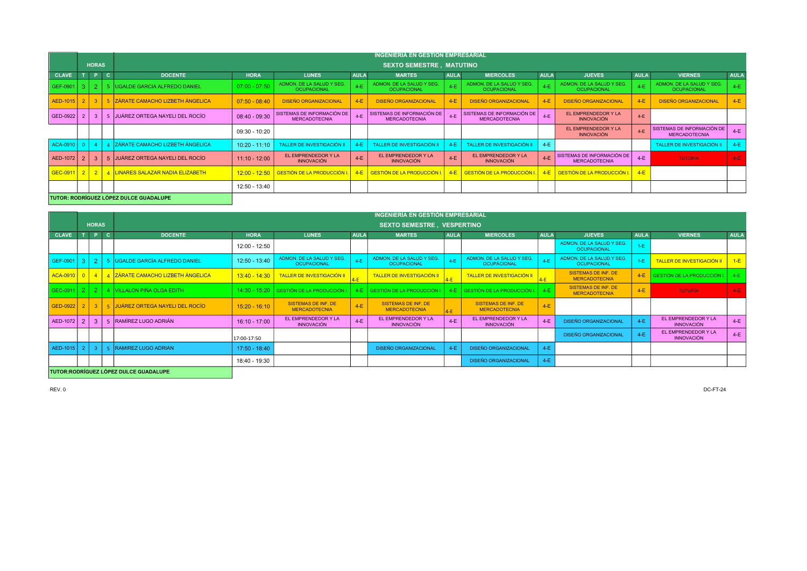|              |                                               |                |            |                                                       |                 |                                                    |             | INGENIERIA EN GESTIÓN EMPRESARIAL                  |             |                                                                                                                                                 |             |                                                    |             |                                                      |             |
|--------------|-----------------------------------------------|----------------|------------|-------------------------------------------------------|-----------------|----------------------------------------------------|-------------|----------------------------------------------------|-------------|-------------------------------------------------------------------------------------------------------------------------------------------------|-------------|----------------------------------------------------|-------------|------------------------------------------------------|-------------|
|              |                                               | <b>HORAS</b>   |            |                                                       |                 |                                                    |             | <b>SEXTO SEMESTRE . MATUTINO</b>                   |             |                                                                                                                                                 |             |                                                    |             |                                                      |             |
| <b>CLAVE</b> |                                               |                | $P \mid C$ | <b>DOCENTE</b>                                        | <b>HORA</b>     | <b>LUNES</b>                                       | <b>AULA</b> | <b>MARTES</b>                                      | <b>AULA</b> | <b>MIERCOLES</b>                                                                                                                                | <b>AULA</b> | <b>JUEVES</b>                                      | <b>AULA</b> | <b>VIERNES</b>                                       | <b>AULA</b> |
| GEF-0901     |                                               | 2 <sup>1</sup> |            | 5 UGALDE GARCIA ALFREDO DANIEL                        | $07:00 - 07:50$ | ADMON. DE LA SALUD Y SEG.<br><b>OCUPACIONAL</b>    | $4-E$       | ADMON, DE LA SALUD Y SEG.<br><b>OCUPACIONAL</b>    | $4-E$       | ADMON. DE LA SALUD Y SEG.<br><b>OCUPACIONAL</b>                                                                                                 | $4-E$       | ADMON, DE LA SALUD Y SEG.<br><b>OCUPACIONAL</b>    | $4-E$       | ADMON. DE LA SALUD Y SEG.<br><b>OCUPACIONAL</b>      | $4-E$       |
| AED-1015 2   |                                               |                |            | 5 ZÁRATE CAMACHO LIZBETH ÁNGELICA                     | $07:50 - 08:40$ | <b>DISEÑO ORGANIZACIONAL</b>                       | $4-E$       | <b>DISEÑO ORGANIZACIONAL</b>                       | $4-E$       | <b>DISEÑO ORGANIZACIONAL</b>                                                                                                                    | $4-E$       | <b>DISEÑO ORGANIZACIONAL</b>                       | $4-E$       | <b>DISEÑO ORGANIZACIONAL</b>                         | $4-E$       |
| GED-0922     |                                               |                |            | <b>JUÁREZ ORTEGA NAYELI DEL ROCÍO</b>                 | $08:40 - 09:30$ | SISTEMAS DE INFORMACIÓN DE<br><b>MERCADOTECNIA</b> | $4-F$       | SISTEMAS DE INFORMACIÓN DE<br><b>MERCADOTECNIA</b> | $4-F$       | SISTEMAS DE INFORMACIÓN DE<br><b>MERCADOTECNIA</b>                                                                                              | $4-F$       | EL EMPRENDEDOR Y LA<br><b>INNOVACIÓN</b>           | $4-E$       |                                                      |             |
|              |                                               |                |            |                                                       | $09:30 - 10:20$ |                                                    |             |                                                    |             |                                                                                                                                                 |             | EL EMPRENDEDOR Y LA<br><b>INNOVACIÓN</b>           | $4-E$       | SISTEMAS DE INFORMACIÓN DE I<br><b>MERCADOTECNIA</b> | $4-E$       |
| ACA-0910     |                                               |                |            | <b>IZÁRATE CAMACHO LIZBETH ÁNGELICA</b>               | $10:20 - 11:10$ | <b>TALLER DE INVESTIGACIÓN II</b>                  | $4-E$       | <b>TALLER DE INVESTIGACIÓN II</b>                  | 4-E         | <b>TALLER DE INVESTIGACIÓN II</b>                                                                                                               | $4-E$       |                                                    |             | TALLER DE INVESTIGACIÓN II                           | $4-E$       |
| AED-1072     |                                               |                | -5         | JUÁREZ ORTEGA NAYELI DEL ROCÍO                        | $11:10 - 12:00$ | EL EMPRENDEDOR Y LA<br><b>INNOVACIÓN</b>           | $4-E$       | EL EMPRENDEDOR Y LA<br><b>INNOVACIÓN</b>           | $4-E$       | EL EMPRENDEDOR Y LA<br><b>INNOVACIÓN</b>                                                                                                        | $4-E$       | SISTEMAS DE INFORMACIÓN DE<br><b>MERCADOTECNIA</b> | $4-E$       | <b>TUTORIA</b>                                       | $4-E$       |
|              |                                               |                |            | <b>GEC-0911 2 2 4 LINARES SALAZAR NADIA ELIZABETH</b> |                 |                                                    |             |                                                    |             | 12:00 - 12:50 GESTIÓN DE LA PRODUCCIÓN I.   4-E GESTIÓN DE LA PRODUCCIÓN I.   4-E GESTIÓN DE LA PRODUCCIÓN I.   4-E GESTIÓN DE LA PRODUCCIÓN I. |             |                                                    | $4-E$       |                                                      |             |
|              |                                               |                |            |                                                       | 12:50 - 13:40   |                                                    |             |                                                    |             |                                                                                                                                                 |             |                                                    |             |                                                      |             |
|              | <b>TUTOR: RODRÍGUEZ LÓPEZ DULCE GUADALUPE</b> |                |            |                                                       |                 |                                                    |             |                                                    |             |                                                                                                                                                 |             |                                                    |             |                                                      |             |

|              |                                              |              |            |                                                      | INGENIERÍA EN GESTIÓN EMPRESARIAL |                                                    |             |                                                    |             |                                                    |             |                                                    |             |                                              |             |  |
|--------------|----------------------------------------------|--------------|------------|------------------------------------------------------|-----------------------------------|----------------------------------------------------|-------------|----------------------------------------------------|-------------|----------------------------------------------------|-------------|----------------------------------------------------|-------------|----------------------------------------------|-------------|--|
|              |                                              | <b>HORAS</b> |            |                                                      |                                   |                                                    |             | <b>SEXTO SEMESTRE, VESPERTINO</b>                  |             |                                                    |             |                                                    |             |                                              |             |  |
| <b>CLAVE</b> |                                              |              | $P \mid C$ | <b>DOCENTE</b>                                       | <b>HORA</b>                       | <b>LUNES</b>                                       | <b>AULA</b> | <b>MARTES</b>                                      | <b>AULA</b> | <b>MIERCOLES</b>                                   | <b>AULA</b> | <b>JUEVES</b>                                      | <b>AULA</b> | <b>VIERNES</b>                               | <b>AULA</b> |  |
|              |                                              |              |            |                                                      | $12:00 - 12:50$                   |                                                    |             |                                                    |             |                                                    |             | ADMON. DE LA SALUD Y SEG.<br>OCUPACIONAL           | $1-E$       |                                              |             |  |
| GEF-0901     | -31                                          |              |            | 2   5   UGALDE GARCÍA ALFREDO DANIEL                 | $12:50 - 13:40$                   | ADMON. DE LA SALUD Y SEG.<br>OCUPACIONAL           | $4-E$       | ADMON. DE LA SALUD Y SEG.<br><b>OCUPACIONAL</b>    | $4-E$       | ADMON. DE LA SALUD Y SEG.<br><b>OCUPACIONAL</b>    | $4-E$       | ADMON. DE LA SALUD Y SEG.<br><b>OCUPACIONAL</b>    | $1-E$       | <b>TALLER DE INVESTIGACIÓN II</b>            | $-1-E$      |  |
|              |                                              |              |            | ACA-0910   0   4   4 ZÁRATE CAMACHO LIZBETH ÁNGELICA | $13:40 - 14:30$                   | <b>TALLER DE INVESTIGACIÓN II</b>                  |             | <b>TALLER DE INVESTIGACIÓN II</b>                  |             | <b>TALLER DE INVESTIGACIÓN II</b>                  | $1 - F$     | <b>SISTEMAS DE INF. DE</b><br><b>MERCADOTECNIA</b> |             | GESTIÓN DE LA PRODUCCIÓN I. <sup>1</sup> 4-E |             |  |
|              |                                              |              |            | GEC-0911 2 2 4 VILLALON PIÑA OLGA EDITH              | $14:30 - 15:20$                   | <b>GESTIÓN DE LA PRODUCCIÓN I.</b>                 |             | 4-E   GESTIÓN DE LA PRODUCCIÓN I                   | $4-E$       | GESTIÓN DE LA PRODUCCIÓN I.                        | $4-E$       | <b>SISTEMAS DE INF. DE</b><br><b>MERCADOTECNIA</b> | $4-E$       | <b>TUTORÍA</b>                               | $4-E$       |  |
|              |                                              |              |            | GED-0922   2   3   5 JJUÁREZ ORTEGA NAYELI DEL ROCÍO | $15:20 - 16:10$                   | <b>SISTEMAS DE INF. DE</b><br><b>MERCADOTECNIA</b> | $4-E$       | <b>SISTEMAS DE INF. DE</b><br><b>MERCADOTECNIA</b> |             | <b>SISTEMAS DE INF. DE</b><br><b>MERCADOTECNIA</b> | $4-E$       |                                                    |             |                                              |             |  |
| AED-1072 2   |                                              | 3            |            | 5 RAMIREZ LUGO ADRIÁN                                | $16:10 - 17:00$                   | EL EMPRENDEDOR Y LA<br><b>INNOVACIÓN</b>           | $4-E$       | EL EMPRENDEDOR Y LA<br><b>INNOVACIÓN</b>           | $4-E$       | EL EMPRENDEDOR Y LA<br><b>INNOVACIÓN</b>           | $4-E$       | <b>DISEÑO ORGANIZACIONAL</b>                       | $4-E$       | EL EMPRENDEDOR Y LA<br><b>INNOVACIÓN</b>     | $4-E$       |  |
|              |                                              |              |            |                                                      | 17:00-17:50                       |                                                    |             |                                                    |             |                                                    |             | <b>DISEÑO ORGANIZACIONAL</b>                       | $4-E$       | EL EMPRENDEDOR Y LA<br><b>INNOVACIÓN</b>     | $4-E$       |  |
| AED-1015 2   |                                              | $\mathbf{3}$ |            | 5 RAMIREZ LUGO ADRIAN                                | $17:50 - 18:40$                   |                                                    |             | <b>DISEÑO ORGANIZACIONAL</b>                       | $4-E$       | <b>DISEÑO ORGANIZACIONAL</b>                       | $4-E$       |                                                    |             |                                              |             |  |
|              |                                              |              |            |                                                      | 18:40 - 19:30                     |                                                    |             |                                                    |             | <b>DISEÑO ORGANIZACIONAL</b>                       | $4-E$       |                                                    |             |                                              |             |  |
|              | <b>TUTOR:RODRÍGUEZ LÓPEZ DULCE GUADALUPE</b> |              |            |                                                      |                                   |                                                    |             |                                                    |             |                                                    |             |                                                    |             |                                              |             |  |

REV. 0 DC-FT-24